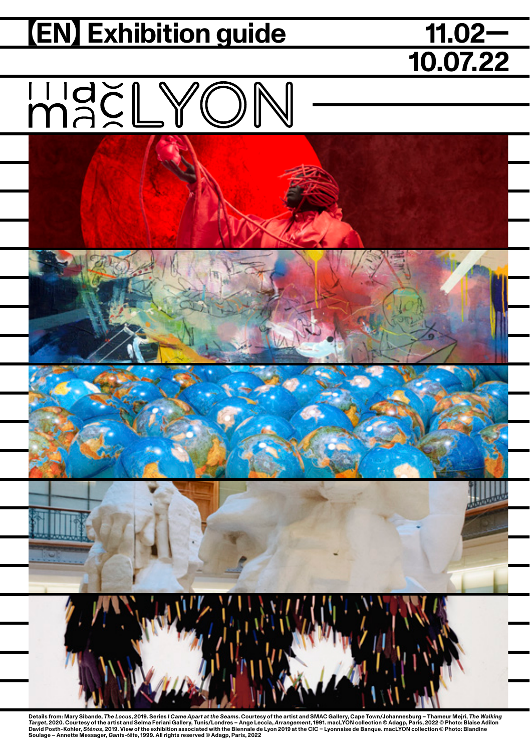## **(EN) Exhibition guide**

# **10.07.22**

## MACLYON



Details from: Mary Sibande, The Locus, 2019. Series I Came Apart at the Seams. Courtesy of the artist and SMAC Gallery, Cape Town/Johanneshurg - Thameur Mejri, The Waking<br>Target, 2020. Courtesy of the artist and Selma Fer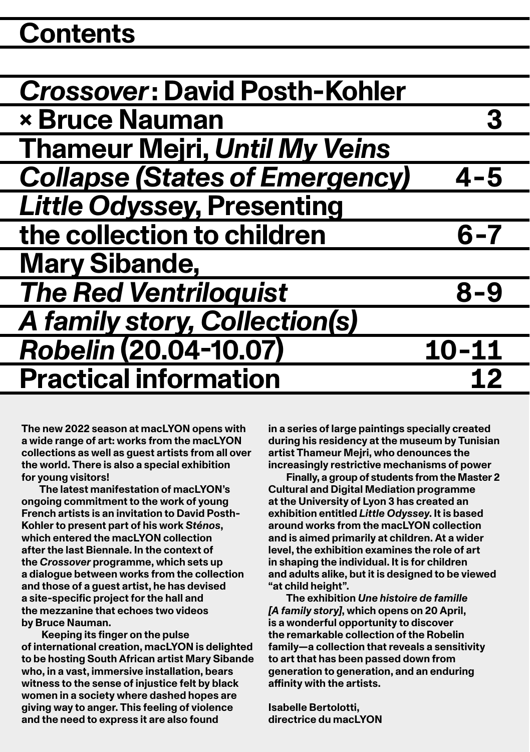### **Contents**

| <b>Crossover: David Posth-Kohler</b>  |           |
|---------------------------------------|-----------|
| <b>× Bruce Nauman</b>                 |           |
| <b>Thameur Mejri, Until My Veins</b>  |           |
| <b>Collapse (States of Emergency)</b> | $4 - 5$   |
| <b>Little Odyssey, Presenting</b>     |           |
| the collection to children            | 6-7       |
| <b>Mary Sibande,</b>                  |           |
| <b>The Red Ventriloquist</b>          | $8 - 9$   |
| <b>A family story, Collection(s)</b>  |           |
| <b>Robelin (20.04-10.07)</b>          | $10 - 11$ |
| <b>Practical information</b>          | 12        |

**The new 2022 season at macLYON opens with a wide range of art: works from the macLYON collections as well as guest artists from all over the world. There is also a special exhibition for young visitors!**

**The latest manifestation of macLYON's ongoing commitment to the work of young French artists is an invitation to David Posth-Kohler to present part of his work** *Sténos***, which entered the macLYON collection after the last Biennale. In the context of the** *Crossover* **programme, which sets up a dialogue between works from the collection and those of a guest artist, he has devised a site-specific project for the hall and the mezzanine that echoes two videos by Bruce Nauman.**

 **Keeping its finger on the pulse of international creation, macLYON is delighted to be hosting South African artist Mary Sibande who, in a vast, immersive installation, bears witness to the sense of injustice felt by black women in a society where dashed hopes are giving way to anger. This feeling of violence and the need to express it are also found** 

**in a series of large paintings specially created during his residency at the museum by Tunisian artist Thameur Mejri, who denounces the increasingly restrictive mechanisms of power**

**Finally, a group of students from the Master 2 Cultural and Digital Mediation programme at the University of Lyon 3 has created an exhibition entitled** *Little Odyssey***. It is based around works from the macLYON collection and is aimed primarily at children. At a wider level, the exhibition examines the role of art in shaping the individual. It is for children and adults alike, but it is designed to be viewed "at child height".**

**The exhibition** *Une histoire de famille [A family story]***, which opens on 20 April, is a wonderful opportunity to discover the remarkable collection of the Robelin family—a collection that reveals a sensitivity to art that has been passed down from generation to generation, and an enduring affinity with the artists.**

**Isabelle Bertolotti, directrice du macLYON**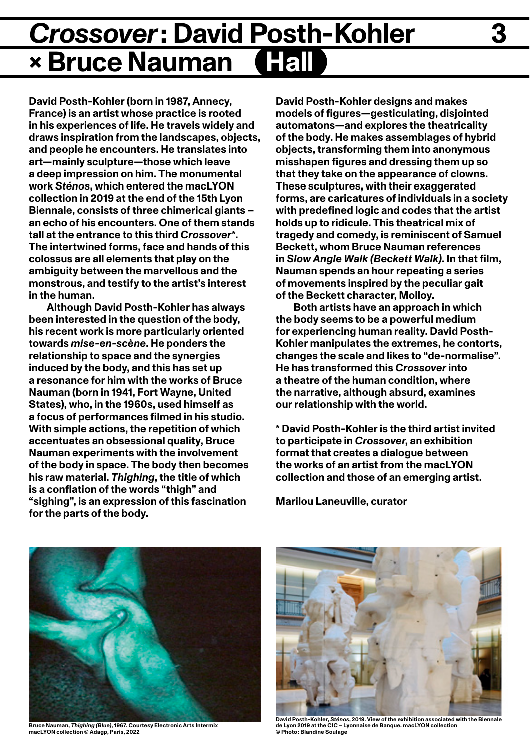### *Crossover***: David Posth-Kohler × Bruce Nauman**

**David Posth-Kohler (born in 1987, Annecy, France) is an artist whose practice is rooted in his experiences of life. He travels widely and draws inspiration from the landscapes, objects, and people he encounters. He translates into art—mainly sculpture—those which leave a deep impression on him. The monumental work** *Sténos***, which entered the macLYON collection in 2019 at the end of the 15th Lyon Biennale, consists of three chimerical giants – an echo of his encounters. One of them stands tall at the entrance to this third** *Crossover***\*. The intertwined forms, face and hands of this colossus are all elements that play on the ambiguity between the marvellous and the monstrous, and testify to the artist's interest in the human.**

**Although David Posth-Kohler has always been interested in the question of the body, his recent work is more particularly oriented towards** *mise-en-scène***. He ponders the relationship to space and the synergies induced by the body, and this has set up a resonance for him with the works of Bruce Nauman (born in 1941, Fort Wayne, United States), who, in the 1960s, used himself as a focus of performances filmed in his studio. With simple actions, the repetition of which accentuates an obsessional quality, Bruce Nauman experiments with the involvement of the body in space. The body then becomes his raw material.** *Thighing***, the title of which is a conflation of the words "thigh" and "sighing", is an expression of this fascination for the parts of the body.** 

**David Posth-Kohler designs and makes models of figures—gesticulating, disjointed automatons—and explores the theatricality of the body. He makes assemblages of hybrid objects, transforming them into anonymous misshapen figures and dressing them up so that they take on the appearance of clowns. These sculptures, with their exaggerated forms, are caricatures of individuals in a society with predefined logic and codes that the artist holds up to ridicule. This theatrical mix of tragedy and comedy, is reminiscent of Samuel Beckett, whom Bruce Nauman references in** *Slow Angle Walk (Beckett Walk)***. In that film, Nauman spends an hour repeating a series of movements inspired by the peculiar gait of the Beckett character, Molloy.**

**Both artists have an approach in which the body seems to be a powerful medium for experiencing human reality. David Posth-Kohler manipulates the extremes, he contorts, changes the scale and likes to "de-normalise". He has transformed this** *Crossover* **into a theatre of the human condition, where the narrative, although absurd, examines our relationship with the world.**

**\* David Posth-Kohler is the third artist invited to participate in** *Crossover***, an exhibition format that creates a dialogue between the works of an artist from the macLYON collection and those of an emerging artist.** 

**Marilou Laneuville, curator**



**Bruce Nauman,** *Thighing (Blue)***, 1967. Courtesy Electronic Arts Intermix macLYON collection © Adagp, Paris, 2022**



**David Posth-Kohler,** *Sténos***, 2019. View of the exhibition associated with the Biennale de Lyon 2019 at the CIC – Lyonnaise de Banque. macLYON collection © Photo : Blandine Soulage**

**3**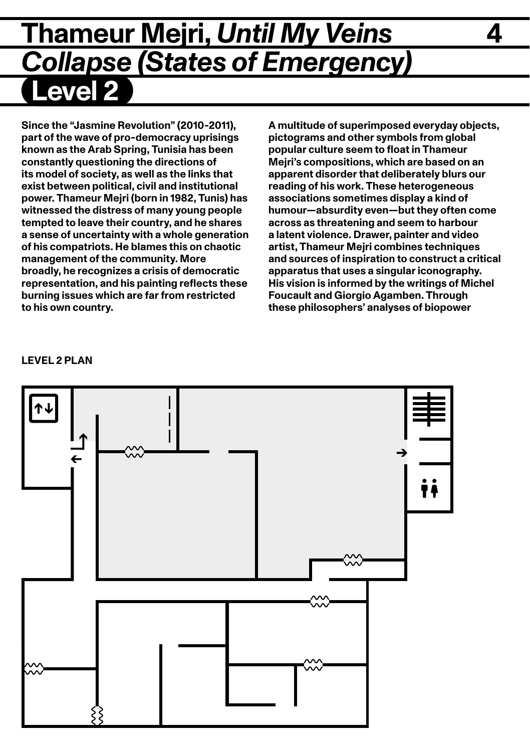### **Thameur Mejri,** *Until My Veins* **4 Collapse (States of Emergency) Level 2**

**Since the "Jasmine Revolution" (2010-2011), part of the wave of pro-democracy uprisings known as the Arab Spring, Tunisia has been constantly questioning the directions of its model of society, as well as the links that exist between political, civil and institutional power. Thameur Mejri (born in 1982, Tunis) has witnessed the distress of many young people tempted to leave their country, and he shares a sense of uncertainty with a whole generation of his compatriots. He blames this on chaotic management of the community. More broadly, he recognizes a crisis of democratic representation, and his painting reflects these burning issues which are far from restricted to his own country.**

**A multitude of superimposed everyday objects, pictograms and other symbols from global popular culture seem to float in Thameur Mejri's compositions, which are based on an apparent disorder that deliberately blurs our reading of his work. These heterogeneous associations sometimes display a kind of humour—absurdity even—but they often come across as threatening and seem to harbour a latent violence. Drawer, painter and video artist, Thameur Mejri combines techniques and sources of inspiration to construct a critical apparatus that uses a singular iconography. His vision is informed by the writings of Michel Foucault and Giorgio Agamben. Through these philosophers' analyses of biopower** 



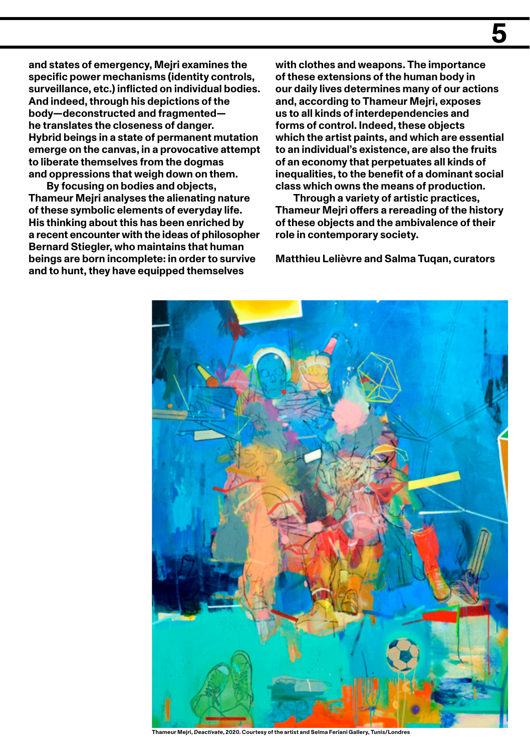**and states of emergency, Mejri examines the specific power mechanisms (identity controls, surveillance, etc.) inflicted on individual bodies. And indeed, through his depictions of the body—deconstructed and fragmented he translates the closeness of danger. Hybrid beings in a state of permanent mutation emerge on the canvas, in a provocative attempt to liberate themselves from the dogmas and oppressions that weigh down on them.**

**By focusing on bodies and objects, Thameur Mejri analyses the alienating nature of these symbolic elements of everyday life. His thinking about this has been enriched by a recent encounter with the ideas of philosopher Bernard Stiegler, who maintains that human beings are born incomplete: in order to survive and to hunt, they have equipped themselves** 

**with clothes and weapons. The importance of these extensions of the human body in our daily lives determines many of our actions and, according to Thameur Mejri, exposes us to all kinds of interdependencies and forms of control. Indeed, these objects which the artist paints, and which are essential to an individual's existence, are also the fruits of an economy that perpetuates all kinds of inequalities, to the benefit of a dominant social class which owns the means of production.** 

**Through a variety of artistic practices, Thameur Mejri offers a rereading of the history of these objects and the ambivalence of their role in contemporary society.**

**Matthieu Lelièvre and Salma Tuqan, curators**



**Thameur Mejri,** *Deactivate***, 2020. Courtesy of the artist and Selma Feriani Gallery, Tunis/Londres**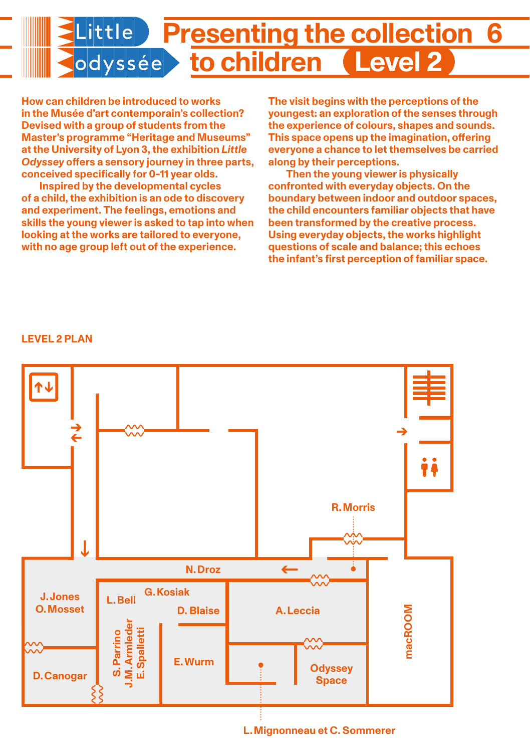

**How can children be introduced to works in the Musée d'art contemporain's collection? Devised with a group of students from the Master's programme "Heritage and Museums" at the University of Lyon 3, the exhibition** *Little Odyssey* **offers a sensory journey in three parts, conceived specifically for 0-11 year olds.** 

**Inspired by the developmental cycles of a child, the exhibition is an ode to discovery and experiment. The feelings, emotions and skills the young viewer is asked to tap into when looking at the works are tailored to everyone, with no age group left out of the experience.** 

**The visit begins with the perceptions of the youngest: an exploration of the senses through the experience of colours, shapes and sounds. This space opens up the imagination, offering everyone a chance to let themselves be carried along by their perceptions.**

**Then the young viewer is physically confronted with everyday objects. On the boundary between indoor and outdoor spaces, the child encounters familiar objects that have been transformed by the creative process. Using everyday objects, the works highlight questions of scale and balance; this echoes the infant's first perception of familiar space.** 

#### **LEVEL 2 PLAN**

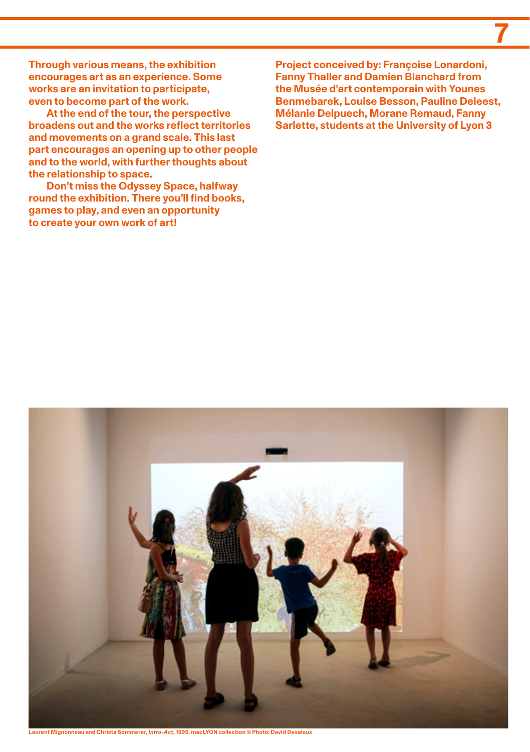**Through various means, the exhibition encourages art as an experience. Some works are an invitation to participate, even to become part of the work.**

**At the end of the tour, the perspective broadens out and the works reflect territories and movements on a grand scale. This last part encourages an opening up to other people and to the world, with further thoughts about the relationship to space.**

**Don't miss the Odyssey Space, halfway round the exhibition. There you'll find books, games to play, and even an opportunity to create your own work of art!** 

**Project conceived by: Françoise Lonardoni, Fanny Thaller and Damien Blanchard from the Musée d'art contemporain with Younes Benmebarek, Louise Besson, Pauline Deleest, Mélanie Delpuech, Morane Remaud, Fanny Sarlette, students at the University of Lyon 3**

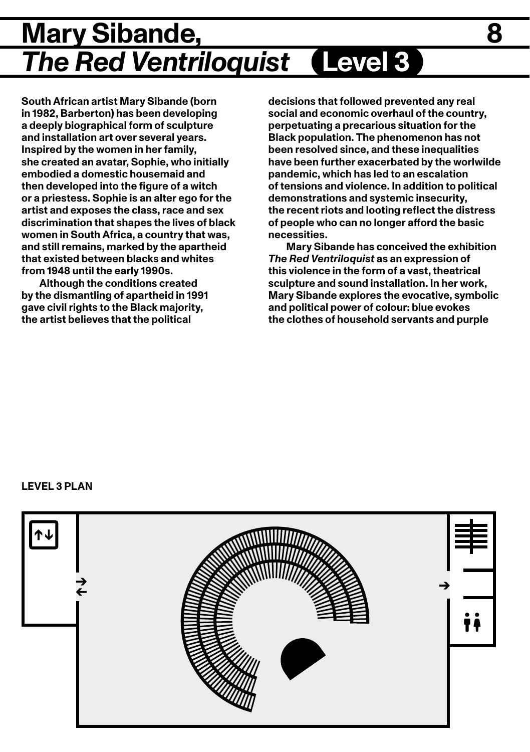### **Mary Sibande, 8** *The Red Ventriloquist* **Level 3**

**South African artist Mary Sibande (born in 1982, Barberton) has been developing a deeply biographical form of sculpture and installation art over several years. Inspired by the women in her family, she created an avatar, Sophie, who initially embodied a domestic housemaid and then developed into the figure of a witch or a priestess. Sophie is an alter ego for the artist and exposes the class, race and sex discrimination that shapes the lives of black women in South Africa, a country that was, and still remains, marked by the apartheid that existed between blacks and whites from 1948 until the early 1990s.** 

**Although the conditions created by the dismantling of apartheid in 1991 gave civil rights to the Black majority, the artist believes that the political** 

**decisions that followed prevented any real social and economic overhaul of the country, perpetuating a precarious situation for the Black population. The phenomenon has not been resolved since, and these inequalities have been further exacerbated by the worlwilde pandemic, which has led to an escalation of tensions and violence. In addition to political demonstrations and systemic insecurity, the recent riots and looting reflect the distress of people who can no longer afford the basic necessities.** 

**Mary Sibande has conceived the exhibition**  *The Red Ventriloquist* **as an expression of this violence in the form of a vast, theatrical sculpture and sound installation. In her work, Mary Sibande explores the evocative, symbolic and political power of colour: blue evokes the clothes of household servants and purple** 

#### **LEVEL 3 PLAN**

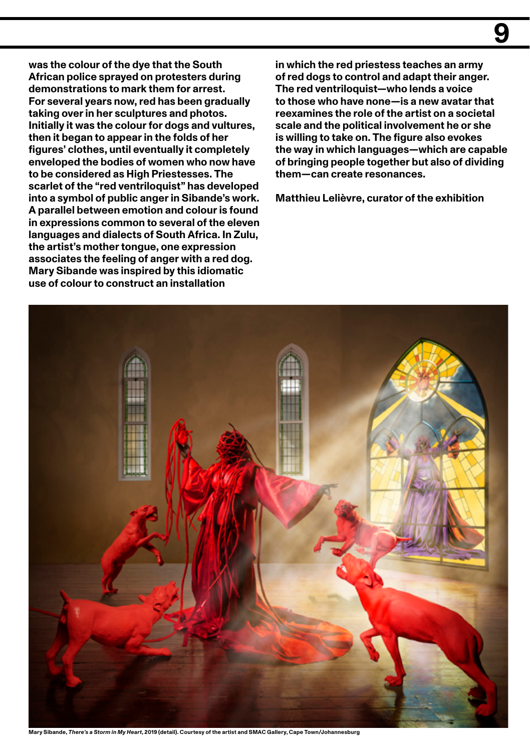**was the colour of the dye that the South African police sprayed on protesters during demonstrations to mark them for arrest. For several years now, red has been gradually taking over in her sculptures and photos. Initially it was the colour for dogs and vultures, then it began to appear in the folds of her figures' clothes, until eventually it completely enveloped the bodies of women who now have to be considered as High Priestesses. The scarlet of the "red ventriloquist" has developed into a symbol of public anger in Sibande's work. A parallel between emotion and colour is found in expressions common to several of the eleven languages and dialects of South Africa. In Zulu, the artist's mother tongue, one expression associates the feeling of anger with a red dog. Mary Sibande was inspired by this idiomatic use of colour to construct an installation** 

**in which the red priestess teaches an army of red dogs to control and adapt their anger. The red ventriloquist—who lends a voice to those who have none—is a new avatar that reexamines the role of the artist on a societal scale and the political involvement he or she is willing to take on. The figure also evokes the way in which languages—which are capable of bringing people together but also of dividing them—can create resonances.** 

**Matthieu Lelièvre, curator of the exhibition**



**Mary Sibande,** *There's a Storm in My Heart***, 2019 (detail). Courtesy of the artist and SMAC Gallery, Cape Town/Johannesburg**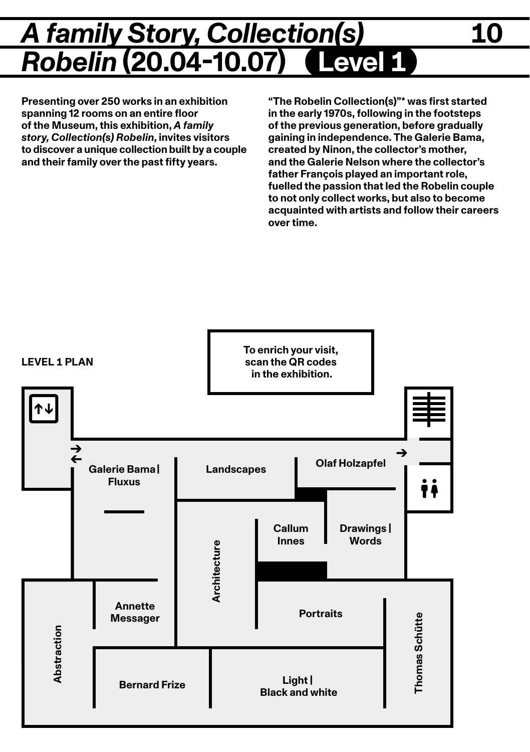### *A family Story, Collection(s)* **10 Robelin (20.04-10.07)**

**Presenting over 250 works in an exhibition spanning 12 rooms on an entire floor of the Museum, this exhibition,** *A family story, Collection(s) Robelin***, invites visitors to discover a unique collection built by a couple and their family over the past fifty years.**

**"The Robelin Collection(s)"\* was first started in the early 1970s, following in the footsteps of the previous generation, before gradually gaining in independence. The Galerie Bama, created by Ninon, the collector's mother, and the Galerie Nelson where the collector's father François played an important role, fuelled the passion that led the Robelin couple to not only collect works, but also to become acquainted with artists and follow their careers over time.**

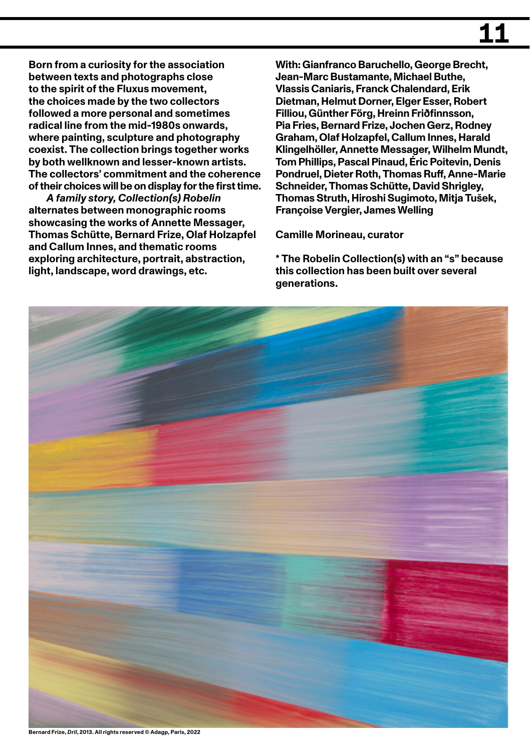**Born from a curiosity for the association between texts and photographs close to the spirit of the Fluxus movement, the choices made by the two collectors followed a more personal and sometimes radical line from the mid-1980s onwards, where painting, sculpture and photography coexist. The collection brings together works by both wellknown and lesser-known artists. The collectors' commitment and the coherence of their choices will be on display for the first time.**

*A family story, Collection(s) Robelin* **alternates between monographic rooms showcasing the works of Annette Messager, Thomas Schütte, Bernard Frize, Olaf Holzapfel and Callum Innes, and thematic rooms exploring architecture, portrait, abstraction, light, landscape, word drawings, etc.**

**With: Gianfranco Baruchello, George Brecht, Jean-Marc Bustamante, Michael Buthe, Vlassis Caniaris, Franck Chalendard, Erik Dietman, Helmut Dorner, Elger Esser, Robert Filliou, Günther Förg, Hreinn Friðfinnsson, Pia Fries, Bernard Frize, Jochen Gerz, Rodney Graham, Olaf Holzapfel, Callum Innes, Harald Klingelhöller, Annette Messager, Wilhelm Mundt, Tom Phillips, Pascal Pinaud, Éric Poitevin, Denis Pondruel, Dieter Roth, Thomas Ruff, Anne-Marie Schneider, Thomas Schütte, David Shrigley, Thomas Struth, Hiroshi Sugimoto, Mitja Tušek, Françoise Vergier, James Welling**

**Camille Morineau, curator**

**\* The Robelin Collection(s) with an "s" because this collection has been built over several generations.**